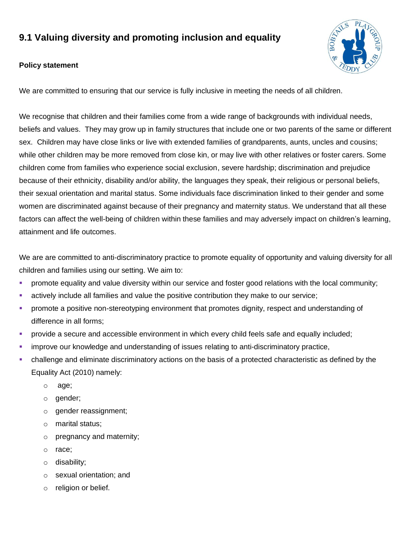# **9.1 Valuing diversity and promoting inclusion and equality**



# **Policy statement**

We are committed to ensuring that our service is fully inclusive in meeting the needs of all children.

We recognise that children and their families come from a wide range of backgrounds with individual needs, beliefs and values. They may grow up in family structures that include one or two parents of the same or different sex. Children may have close links or live with extended families of grandparents, aunts, uncles and cousins; while other children may be more removed from close kin, or may live with other relatives or foster carers. Some children come from families who experience social exclusion, severe hardship; discrimination and prejudice because of their ethnicity, disability and/or ability, the languages they speak, their religious or personal beliefs, their sexual orientation and marital status. Some individuals face discrimination linked to their gender and some women are discriminated against because of their pregnancy and maternity status. We understand that all these factors can affect the well-being of children within these families and may adversely impact on children's learning, attainment and life outcomes.

We are are committed to anti-discriminatory practice to promote equality of opportunity and valuing diversity for all children and families using our setting. We aim to:

- promote equality and value diversity within our service and foster good relations with the local community;
- **E** actively include all families and value the positive contribution they make to our service;
- **•** promote a positive non-stereotyping environment that promotes dignity, respect and understanding of difference in all forms;
- provide a secure and accessible environment in which every child feels safe and equally included;
- **EXED** improve our knowledge and understanding of issues relating to anti-discriminatory practice,
- challenge and eliminate discriminatory actions on the basis of a protected characteristic as defined by the Equality Act (2010) namely:
	- o age;
	- o gender;
	- o gender reassignment;
	- o marital status;
	- o pregnancy and maternity;
	- o race;
	- o disability;
	- o sexual orientation; and
	- o religion or belief.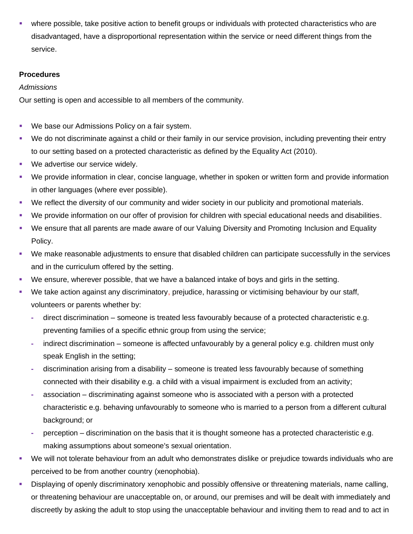where possible, take positive action to benefit groups or individuals with protected characteristics who are disadvantaged, have a disproportional representation within the service or need different things from the service.

## **Procedures**

## *Admissions*

Our setting is open and accessible to all members of the community.

- We base our Admissions Policy on a fair system.
- We do not discriminate against a child or their family in our service provision, including preventing their entry to our setting based on a protected characteristic as defined by the Equality Act (2010).
- We advertise our service widely.
- We provide information in clear, concise language, whether in spoken or written form and provide information in other languages (where ever possible).
- We reflect the diversity of our community and wider society in our publicity and promotional materials.
- We provide information on our offer of provision for children with special educational needs and disabilities.
- We ensure that all parents are made aware of our Valuing Diversity and Promoting Inclusion and Equality Policy.
- We make reasonable adjustments to ensure that disabled children can participate successfully in the services and in the curriculum offered by the setting.
- We ensure, wherever possible, that we have a balanced intake of boys and girls in the setting.
- We take action against any discriminatory, prejudice, harassing or victimising behaviour by our staff, volunteers or parents whether by:
	- **-** direct discrimination someone is treated less favourably because of a protected characteristic e.g. preventing families of a specific ethnic group from using the service;
	- **-** indirect discrimination someone is affected unfavourably by a general policy e.g. children must only speak English in the setting;
	- **-** discrimination arising from a disability someone is treated less favourably because of something connected with their disability e.g. a child with a visual impairment is excluded from an activity;
	- **-** association discriminating against someone who is associated with a person with a protected characteristic e.g. behaving unfavourably to someone who is married to a person from a different cultural background; or
	- **-** perception discrimination on the basis that it is thought someone has a protected characteristic e.g. making assumptions about someone's sexual orientation.
- We will not tolerate behaviour from an adult who demonstrates dislike or prejudice towards individuals who are perceived to be from another country (xenophobia).
- Displaying of openly discriminatory xenophobic and possibly offensive or threatening materials, name calling, or threatening behaviour are unacceptable on, or around, our premises and will be dealt with immediately and discreetly by asking the adult to stop using the unacceptable behaviour and inviting them to read and to act in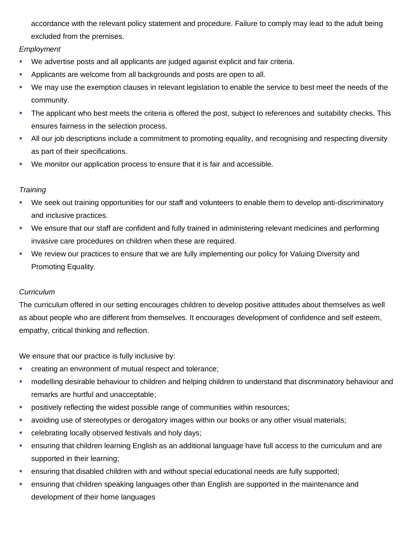accordance with the relevant policy statement and procedure. Failure to comply may lead to the adult being excluded from the premises.

# *Employment*

- We advertise posts and all applicants are judged against explicit and fair criteria.
- **Applicants are welcome from all backgrounds and posts are open to all.**
- We may use the exemption clauses in relevant legislation to enable the service to best meet the needs of the community.
- **•** The applicant who best meets the criteria is offered the post, subject to references and suitability checks. This ensures fairness in the selection process.
- All our job descriptions include a commitment to promoting equality, and recognising and respecting diversity as part of their specifications.
- We monitor our application process to ensure that it is fair and accessible.

# *Training*

- We seek out training opportunities for our staff and volunteers to enable them to develop anti-discriminatory and inclusive practices.
- We ensure that our staff are confident and fully trained in administering relevant medicines and performing invasive care procedures on children when these are required.
- We review our practices to ensure that we are fully implementing our policy for Valuing Diversity and Promoting Equality.

## *Curriculum*

The curriculum offered in our setting encourages children to develop positive attitudes about themselves as well as about people who are different from themselves. It encourages development of confidence and self esteem, empathy, critical thinking and reflection.

We ensure that our practice is fully inclusive by:

- creating an environment of mutual respect and tolerance;
- **•** modelling desirable behaviour to children and helping children to understand that discriminatory behaviour and remarks are hurtful and unacceptable;
- **•** positively reflecting the widest possible range of communities within resources;
- avoiding use of stereotypes or derogatory images within our books or any other visual materials;
- **•** celebrating locally observed festivals and holy days;
- **•** ensuring that children learning English as an additional language have full access to the curriculum and are supported in their learning;
- **•** ensuring that disabled children with and without special educational needs are fully supported;
- **ensuring that children speaking languages other than English are supported in the maintenance and** development of their home languages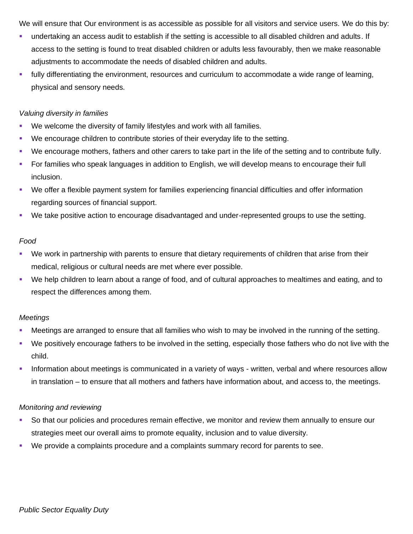We will ensure that Our environment is as accessible as possible for all visitors and service users. We do this by:

- undertaking an access audit to establish if the setting is accessible to all disabled children and adults. If access to the setting is found to treat disabled children or adults less favourably, then we make reasonable adjustments to accommodate the needs of disabled children and adults.
- **•** fully differentiating the environment, resources and curriculum to accommodate a wide range of learning, physical and sensory needs.

#### *Valuing diversity in families*

- We welcome the diversity of family lifestyles and work with all families.
- We encourage children to contribute stories of their everyday life to the setting.
- We encourage mothers, fathers and other carers to take part in the life of the setting and to contribute fully.
- For families who speak languages in addition to English, we will develop means to encourage their full inclusion.
- We offer a flexible payment system for families experiencing financial difficulties and offer information regarding sources of financial support.
- We take positive action to encourage disadvantaged and under-represented groups to use the setting.

#### *Food*

- We work in partnership with parents to ensure that dietary requirements of children that arise from their medical, religious or cultural needs are met where ever possible.
- We help children to learn about a range of food, and of cultural approaches to mealtimes and eating, and to respect the differences among them.

## *Meetings*

- **Meetings are arranged to ensure that all families who wish to may be involved in the running of the setting.**
- We positively encourage fathers to be involved in the setting, especially those fathers who do not live with the child.
- **•** Information about meetings is communicated in a variety of ways written, verbal and where resources allow in translation – to ensure that all mothers and fathers have information about, and access to, the meetings.

## *Monitoring and reviewing*

- So that our policies and procedures remain effective, we monitor and review them annually to ensure our strategies meet our overall aims to promote equality, inclusion and to value diversity.
- We provide a complaints procedure and a complaints summary record for parents to see.